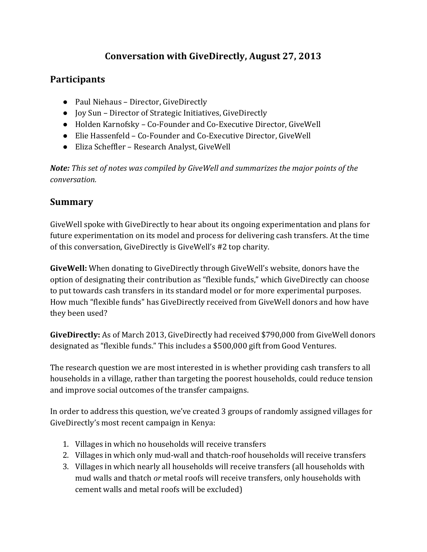## **Conversation with GiveDirectly, August 27, 2013**

## **Participants**

- Paul Niehaus Director, GiveDirectly
- Joy Sun Director of Strategic Initiatives, GiveDirectly
- Holden Karnofsky Co-Founder and Co-Executive Director, GiveWell
- Elie Hassenfeld Co-Founder and Co-Executive Director, GiveWell
- Eliza Scheffler Research Analyst, GiveWell

*Note:* This set of notes was compiled by GiveWell and summarizes the major points of the *conversation.*

## **Summary**

GiveWell spoke with GiveDirectly to hear about its ongoing experimentation and plans for future experimentation on its model and process for delivering cash transfers. At the time of this conversation, GiveDirectly is GiveWell's #2 top charity.

**GiveWell:** When donating to GiveDirectly through GiveWell's website, donors have the option of designating their contribution as "flexible funds," which GiveDirectly can choose to put towards cash transfers in its standard model or for more experimental purposes. How much "flexible funds" has GiveDirectly received from GiveWell donors and how have they been used?

GiveDirectly: As of March 2013, GiveDirectly had received \$790,000 from GiveWell donors designated as "flexible funds." This includes a \$500,000 gift from Good Ventures.

The research question we are most interested in is whether providing cash transfers to all households in a village, rather than targeting the poorest households, could reduce tension and improve social outcomes of the transfer campaigns.

In order to address this question, we've created 3 groups of randomly assigned villages for GiveDirectly's most recent campaign in Kenya:

- 1. Villages in which no households will receive transfers
- 2. Villages in which only mud-wall and thatch-roof households will receive transfers
- 3. Villages in which nearly all households will receive transfers (all households with mud walls and thatch *or* metal roofs will receive transfers, only households with cement walls and metal roofs will be excluded)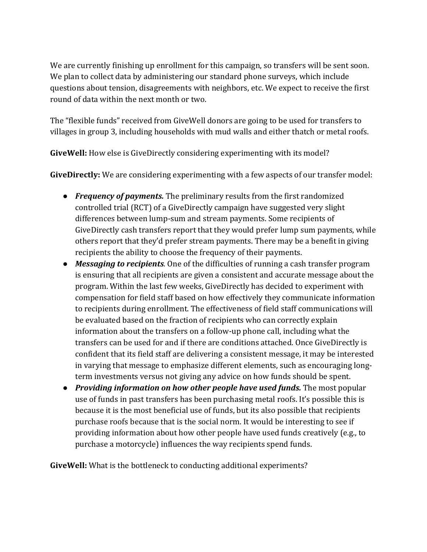We are currently finishing up enrollment for this campaign, so transfers will be sent soon. We plan to collect data by administering our standard phone surveys, which include questions about tension, disagreements with neighbors, etc. We expect to receive the first round of data within the next month or two.

The "flexible funds" received from GiveWell donors are going to be used for transfers to villages in group 3, including households with mud walls and either thatch or metal roofs.

**GiveWell:** How else is GiveDirectly considering experimenting with its model?

**GiveDirectly:** We are considering experimenting with a few aspects of our transfer model:

- *Frequency of payments.* The preliminary results from the first randomized controlled trial (RCT) of a GiveDirectly campaign have suggested very slight differences between lump-sum and stream payments. Some recipients of GiveDirectly cash transfers report that they would prefer lump sum payments, while others report that they'd prefer stream payments. There may be a benefit in giving recipients the ability to choose the frequency of their payments.
- *Messaging to recipients*. One of the difficulties of running a cash transfer program is ensuring that all recipients are given a consistent and accurate message about the program. Within the last few weeks, GiveDirectly has decided to experiment with compensation for field staff based on how effectively they communicate information to recipients during enrollment. The effectiveness of field staff communications will be evaluated based on the fraction of recipients who can correctly explain information about the transfers on a follow-up phone call, including what the transfers can be used for and if there are conditions attached. Once GiveDirectly is confident that its field staff are delivering a consistent message, it may be interested in varying that message to emphasize different elements, such as encouraging longterm investments versus not giving any advice on how funds should be spent.
- *Providing information on how other people have used funds.* The most popular use of funds in past transfers has been purchasing metal roofs. It's possible this is because it is the most beneficial use of funds, but its also possible that recipients purchase roofs because that is the social norm. It would be interesting to see if providing information about how other people have used funds creatively (e.g., to purchase a motorcycle) influences the way recipients spend funds.

**GiveWell:** What is the bottleneck to conducting additional experiments?